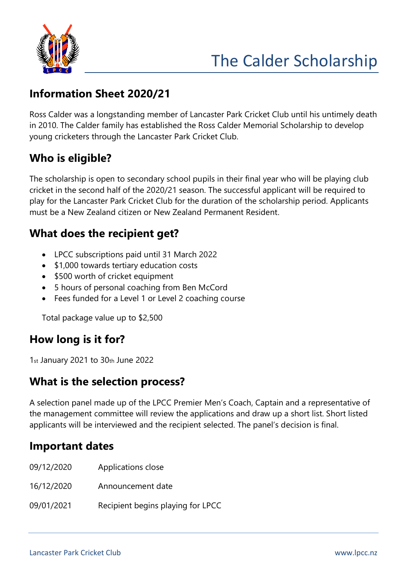

# The Calder Scholarship

# **Information Sheet 2020/21**

Ross Calder was a longstanding member of Lancaster Park Cricket Club until his untimely death in 2010. The Calder family has established the Ross Calder Memorial Scholarship to develop young cricketers through the Lancaster Park Cricket Club.

# **Who is eligible?**

The scholarship is open to secondary school pupils in their final year who will be playing club cricket in the second half of the 2020/21 season. The successful applicant will be required to play for the Lancaster Park Cricket Club for the duration of the scholarship period. Applicants must be a New Zealand citizen or New Zealand Permanent Resident.

#### **What does the recipient get?**

- LPCC subscriptions paid until 31 March 2022
- \$1,000 towards tertiary education costs
- \$500 worth of cricket equipment
- 5 hours of personal coaching from Ben McCord
- Fees funded for a Level 1 or Level 2 coaching course

Total package value up to \$2,500

# **How long is it for?**

1st January 2021 to 30th June 2022

#### **What is the selection process?**

A selection panel made up of the LPCC Premier Men's Coach, Captain and a representative of the management committee will review the applications and draw up a short list. Short listed applicants will be interviewed and the recipient selected. The panel's decision is final.

#### **Important dates**

- 09/12/2020 Applications close
- 16/12/2020 Announcement date
- 09/01/2021 Recipient begins playing for LPCC